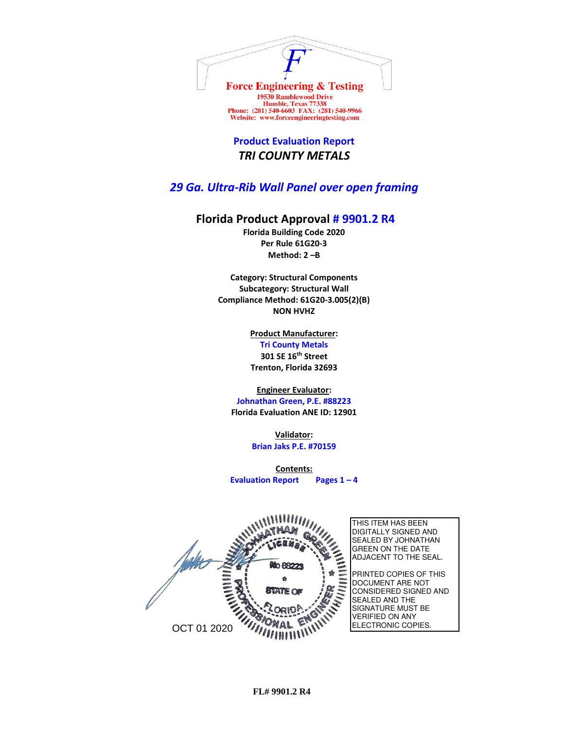

Humble, Texas 77338<br>Phone: (281) 540-6603 FAX: (281) 540-9966 Website: www.forceengineeringtesting.com

**Product Evaluation Report** *TRI COUNTY METALS*

*29 Ga. Ultra-Rib Wall Panel over open framing*

## **Florida Product Approval # 9901.2 R4**

**Florida Building Code 2020 Per Rule 61G20-3 Method: 2 –B**

**Category: Structural Components Subcategory: Structural Wall Compliance Method: 61G20-3.005(2)(B) NON HVHZ**

> **Product Manufacturer: Tri County Metals 301 SE 16th Street Trenton, Florida 32693**

**Engineer Evaluator:**

**Johnathan Green, P.E. #88223 Florida Evaluation ANE ID: 12901**

> **Validator: Brian Jaks P.E. #70159**

**Contents: Evaluation Report Pages 1 – 4**



**FL# 9901.2 R4**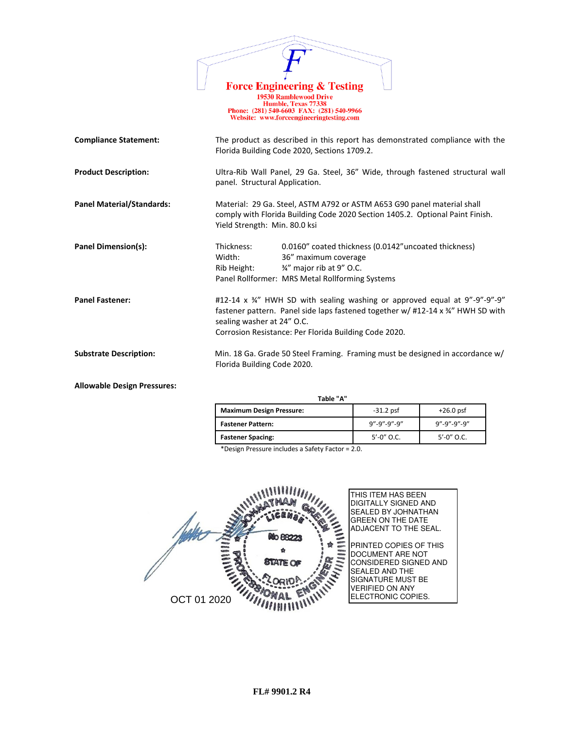|                                  | <b>Force Engineering &amp; Testing</b><br><b>19530 Ramblewood Drive</b><br>Humble, Texas 77338<br>Phone: (281) 540-6603 FAX: (281) 540-9966<br>Website: www.forceengineeringtesting.com                                                             |
|----------------------------------|-----------------------------------------------------------------------------------------------------------------------------------------------------------------------------------------------------------------------------------------------------|
| <b>Compliance Statement:</b>     | The product as described in this report has demonstrated compliance with the<br>Florida Building Code 2020, Sections 1709.2.                                                                                                                        |
| <b>Product Description:</b>      | Ultra-Rib Wall Panel, 29 Ga. Steel, 36" Wide, through fastened structural wall<br>panel. Structural Application.                                                                                                                                    |
| <b>Panel Material/Standards:</b> | Material: 29 Ga. Steel, ASTM A792 or ASTM A653 G90 panel material shall<br>comply with Florida Building Code 2020 Section 1405.2. Optional Paint Finish.<br>Yield Strength: Min. 80.0 ksi                                                           |
| <b>Panel Dimension(s):</b>       | Thickness:<br>0.0160" coated thickness (0.0142" uncoated thickness)<br>Width:<br>36" maximum coverage<br>3/4" major rib at 9" O.C.<br>Rib Height:<br>Panel Rollformer: MRS Metal Rollforming Systems                                                |
| <b>Panel Fastener:</b>           | #12-14 x 34" HWH SD with sealing washing or approved equal at 9"-9"-9"-9"<br>fastener pattern. Panel side laps fastened together w/ #12-14 x 34" HWH SD with<br>sealing washer at 24" O.C.<br>Corrosion Resistance: Per Florida Building Code 2020. |
| <b>Substrate Description:</b>    | Min. 18 Ga. Grade 50 Steel Framing. Framing must be designed in accordance w/<br>Florida Building Code 2020.                                                                                                                                        |

 $\overline{1}$ 

**Allowable Design Pressures:**

 **Table "A"**

| 1991 R                          |                 |                         |
|---------------------------------|-----------------|-------------------------|
| <b>Maximum Design Pressure:</b> | $-31.2$ psf     | $+26.0$ psf             |
| <b>Fastener Pattern:</b>        | 9"-9"-9"-9"     | $9'' - 9'' - 9'' - 9''$ |
| <b>Fastener Spacing:</b>        | $5' - 0''$ O.C. | $5' - 0''$ O.C.         |

\*Design Pressure includes a Safety Factor = 2.0.

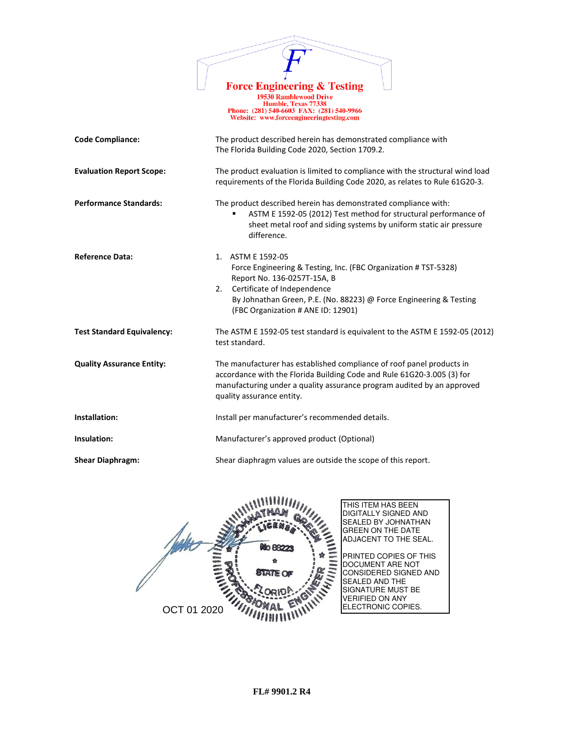

19730 Ramblewood Drive<br>
Humble, Texas 77338<br>
Phone: (281) 540-6603 FAX: (281) 540-9966<br>
Website: www.forceengineeringtesting.com

| <b>Code Compliance:</b>           | The product described herein has demonstrated compliance with<br>The Florida Building Code 2020, Section 1709.2.                                                                                                                                                     |  |
|-----------------------------------|----------------------------------------------------------------------------------------------------------------------------------------------------------------------------------------------------------------------------------------------------------------------|--|
| <b>Evaluation Report Scope:</b>   | The product evaluation is limited to compliance with the structural wind load<br>requirements of the Florida Building Code 2020, as relates to Rule 61G20-3.                                                                                                         |  |
| <b>Performance Standards:</b>     | The product described herein has demonstrated compliance with:<br>ASTM E 1592-05 (2012) Test method for structural performance of<br>sheet metal roof and siding systems by uniform static air pressure<br>difference.                                               |  |
| <b>Reference Data:</b>            | 1. ASTM E 1592-05<br>Force Engineering & Testing, Inc. (FBC Organization # TST-5328)<br>Report No. 136-0257T-15A, B<br>Certificate of Independence<br>2.<br>By Johnathan Green, P.E. (No. 88223) @ Force Engineering & Testing<br>(FBC Organization # ANE ID: 12901) |  |
| <b>Test Standard Equivalency:</b> | The ASTM E 1592-05 test standard is equivalent to the ASTM E 1592-05 (2012)<br>test standard.                                                                                                                                                                        |  |
| <b>Quality Assurance Entity:</b>  | The manufacturer has established compliance of roof panel products in<br>accordance with the Florida Building Code and Rule 61G20-3.005 (3) for<br>manufacturing under a quality assurance program audited by an approved<br>quality assurance entity.               |  |
| Installation:                     | Install per manufacturer's recommended details.                                                                                                                                                                                                                      |  |
| Insulation:                       | Manufacturer's approved product (Optional)                                                                                                                                                                                                                           |  |
| <b>Shear Diaphragm:</b>           | Shear diaphragm values are outside the scope of this report.                                                                                                                                                                                                         |  |

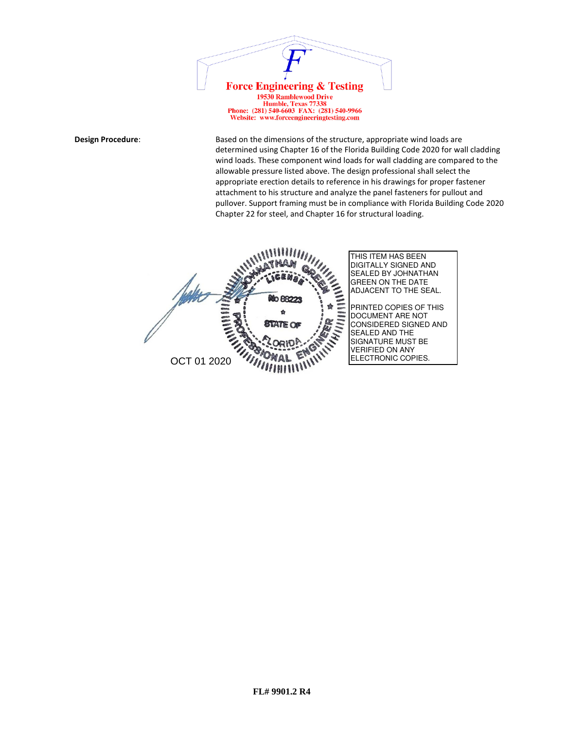

Website: www.forceengineeringtesting.com

**Design Procedure:** Based on the dimensions of the structure, appropriate wind loads are determined using Chapter 16 of the Florida Building Code 2020 for wall cladding wind loads. These component wind loads for wall cladding are compared to the allowable pressure listed above. The design professional shall select the appropriate erection details to reference in his drawings for proper fastener attachment to his structure and analyze the panel fasteners for pullout and pullover. Support framing must be in compliance with Florida Building Code 2020 Chapter 22 for steel, and Chapter 16 for structural loading.